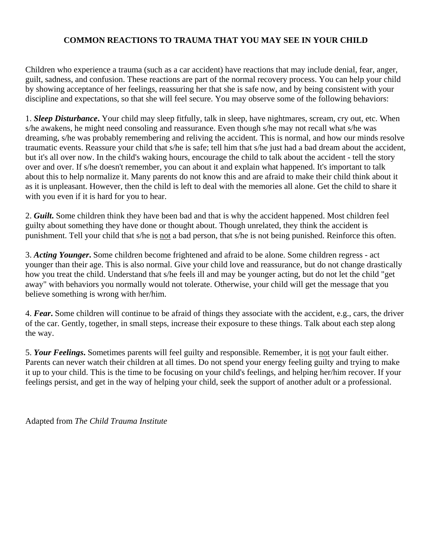### **COMMON REACTIONS TO TRAUMA THAT YOU MAY SEE IN YOUR CHILD**

Children who experience a trauma (such as a car accident) have reactions that may include denial, fear, anger, guilt, sadness, and confusion. These reactions are part of the normal recovery process. You can help your child by showing acceptance of her feelings, reassuring her that she is safe now, and by being consistent with your discipline and expectations, so that she will feel secure. You may observe some of the following behaviors:

1. *Sleep Disturbance***.** Your child may sleep fitfully, talk in sleep, have nightmares, scream, cry out, etc. When s/he awakens, he might need consoling and reassurance. Even though s/he may not recall what s/he was dreaming, s/he was probably remembering and reliving the accident. This is normal, and how our minds resolve traumatic events. Reassure your child that s/he is safe; tell him that s/he just had a bad dream about the accident, but it's all over now. In the child's waking hours, encourage the child to talk about the accident - tell the story over and over. If s/he doesn't remember, you can about it and explain what happened. It's important to talk about this to help normalize it. Many parents do not know this and are afraid to make their child think about it as it is unpleasant. However, then the child is left to deal with the memories all alone. Get the child to share it with you even if it is hard for you to hear.

2. *Guilt***.** Some children think they have been bad and that is why the accident happened. Most children feel guilty about something they have done or thought about. Though unrelated, they think the accident is punishment. Tell your child that s/he is not a bad person, that s/he is not being punished. Reinforce this often.

3. *Acting Younger***.** Some children become frightened and afraid to be alone. Some children regress - act younger than their age. This is also normal. Give your child love and reassurance, but do not change drastically how you treat the child. Understand that s/he feels ill and may be younger acting, but do not let the child "get away" with behaviors you normally would not tolerate. Otherwise, your child will get the message that you believe something is wrong with her/him.

4. *Fear***.** Some children will continue to be afraid of things they associate with the accident, e.g., cars, the driver of the car. Gently, together, in small steps, increase their exposure to these things. Talk about each step along the way.

5. *Your Feelings***.** Sometimes parents will feel guilty and responsible. Remember, it is not your fault either. Parents can never watch their children at all times. Do not spend your energy feeling guilty and trying to make it up to your child. This is the time to be focusing on your child's feelings, and helping her/him recover. If your feelings persist, and get in the way of helping your child, seek the support of another adult or a professional.

Adapted from *The Child Trauma Institute*